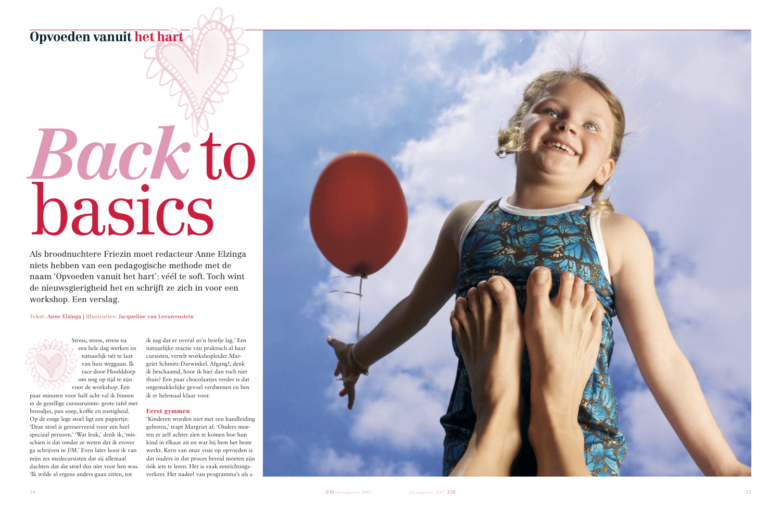## Opvoeden vanuit het hart

# Back to<br>basics

Als broodnuchtere Friezin moet redacteur Anne Elzinga niets hebben van een pedagogische methode met de naam 'Opvoeden vanuit het hart': véél te soft. Toch wint de nieuwsgierigheid het en schrijft ze zich in voor een workshop. Een verslag.

### Tekst: Anne Elzinga | Illustraties: Jacqueline van Leeuwenstein

Stress, stress, stress na een hele dag werken en natuurlijk nét te laat van huis weggaan. Ik race door Hoofddorp om nog op tijd te zijn voor de workshop. Een

paar minuten voor half acht val ik binnen in de gezellige cursusruimte: grote tafel met broodjes, pan soep, koffie en zoetigheid. Op de enige lege stoel ligt een papiertje: 'Deze stoel is gereserveerd voor een heel speciaal persoon.' 'Wat leuk,' denk ik, 'misschien is dat omdat ze weten dat ik erover ga schrijven in J/M.' Even later hoor ik van mijn zes medecursisten dat zij allemaal dachten dat die stoel dus níet voor hen was. 'Ik wilde al ergens anders gaan zitten, tot

ik zag dat er overal zo'n briefje lag.' Een natuurlijke reactie van praktisch al haar cursisten, vertelt workshopleider Margriet Schmitz-Darwinkel. Afgang!, denk ik beschaamd, hoor ik hier dan toch niet thuis? Een paar chocolaatjes verder is dat ongemakkelijke gevoel verdwenen en ben ik er helemaal klaar voor.

### Eerst gymmen

'Kinderen worden niet met een handleiding geboren,' trapt Margriet af. 'Ouders moeten er zelf achter zien te komen hoe hun kind in elkaar zit en wat bij hem het beste werkt. Kern van onze visie op opvoeden is dat ouders in dat proces bereid moeten zijn óók iets te leren. Het is vaak eenrichtingsverkeer. Het nadeel van programma's als ▶

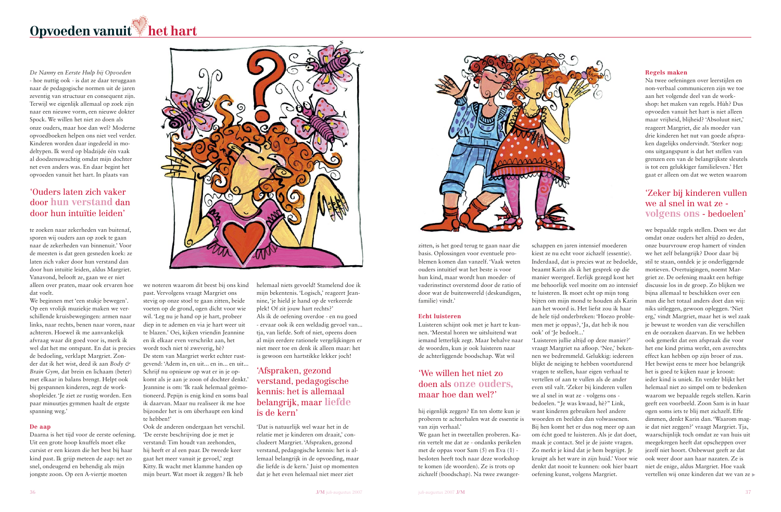# Opvoeden vanuit het hart

De Nanny en Eerste Hulp bij Opvoeden - hoe nuttig ook - is dat ze daar teruggaan naar de pedagogische normen uit de jaren zeventig van structuur en consequent zijn. Terwijl we eigenlijk allemaal op zoek zijn naar een nieuwe vorm, een nieuwe dokter Spock. We willen het niet zo doen als onze ouders, maar hoe dan wel? Moderne opvoedboeken helpen ons niet veel verder. Kinderen worden daar ingedeeld in modeltypen. Ik werd op bladzijde één vaak al doodzenuwachtig omdat mijn dochter net even anders was. En daar begint het opvoeden vanuit het hart. In plaats van

### 'Ouders laten zich vaker door hun verstand dan door hun intuïtie leiden'

te zoeken naar zekerheden van buitenaf, sporen wij ouders aan op zoek te gaan naar de zekerheden van binnenuit.' Voor de meesten is dat geen gesneden koek: ze laten zich vaker door hun verstand dan door hun intuïtie leiden, aldus Margriet. Vanavond, belooft ze, gaan we er niet alleen over praten, maar ook ervaren hoe dat voelt.

We beginnen met 'een stukje bewegen'. Op een vrolijk muziekje maken we verschillende kruisbewegingen: armen naar links, naar rechts, benen naar voren, naar achteren. Hoewel ik me aanvankelijk afvraag waar dit goed voor is, merk ik wel dat het me ontspant. En dat is precies de bedoeling, verklapt Margriet. Zonder dat ik het wist, deed ik aan Body & Brain Gym, dat brein en lichaam (beter) met elkaar in balans brengt. Helpt ook bij gespannen kinderen, zegt de workshopleider. 'Je ziet ze rustig worden. Een paar minuuties gymmen haalt de ergste spanning weg.'

### De aap

Daarna is het tijd voor de eerste oefening. Uit een grote hoop knuffels moet elke cursist er een kiezen die het best bij haar kind past. Ik grijp meteen de aap: net zo snel, ondeugend en behendig als mijn jongste zoon. Op een A-viertje moeten



we noteren waarom dit beest bij ons kind past. Vervolgens vraagt Margriet ons stevig op onze stoel te gaan zitten, beide voeten op de grond, ogen dicht voor wie wil. 'Leg nu je hand op je hart, probeer diep in te ademen en via je hart weer uit te blazen.' Oei, kijken vriendin Jeannine en ik elkaar even verschrikt aan, het wordt toch niet té zweverig, hè? De stem van Margriet werkt echter rustgevend: 'Adem in, en uit... en in... en uit... Schrijf nu opnieuw op wat er in je opkomt als je aan je zoon of dochter denkt.' Jeannine is om: 'Ik raak helemaal geëmotioneerd. Pepijn is enig kind en soms baal ik daarvan. Maar nu realiseer ik me hoe bijzonder het is om überhaupt een kind te hebben!'

Ook de anderen ondergaan het verschil. De eerste beschrijving doe je met je verstand: Tim houdt van zeehonden, hij heeft er al een paar. De tweede keer gaat het meer vanuit je gevoel,' zegt Kitty. Ik wacht met klamme handen op mijn beurt. Wat moet ik zeggen? Ik heb

helemaal niets gevoeld! Stamelend doe ik mijn bekentenis. 'Logisch,' reageert Jeannine, 'je hield je hand op de verkeerde plek! Of zit jouw hart rechts?' Als ik de oefening overdoe - en nu goed - ervaar ook ik een weldadig gevoel van... tja, van liefde. Soft of niet, opeens doen al mijn eerdere rationele vergelijkingen er niet meer toe en denk ik alleen maar: het is gewoon een hartstikke lekker joch!

### 'Afspraken, gezond verstand, pedagogische kennis: het is allemaal belangrijk, maar liefde is de kern'

'Dat is natuurlijk wel waar het in de relatie met je kinderen om draait,' concludeert Margriet. 'Afspraken, gezond verstand, pedagogische kennis: het is allemaal belangrijk in de opvoeding, maar die liefde is de kern.' Juist op momenten dat ie het even helemaal niet meer ziet



zitten, is het goed terug te gaan naar die basis. Oplossingen voor eventuele problemen komen dan vanzelf. 'Vaak weten ouders intuïtief wat het beste is voor hun kind, maar wordt hun moeder- of vaderinstinct overstemd door de ratio of door wat de buitenwereld (deskundigen, familie) vindt.'

### **Echt luisteren**

Luisteren schijnt ook met je hart te kunnen. 'Meestal horen we uitsluitend wat iemand letterlijk zegt. Maar behalve naar de woorden, kun je ook luisteren naar de achterliggende boodschap. Wat wil

### 'We willen het niet zo doen als onze ouders. maar hoe dan wel?

hij eigenlijk zeggen? En ten slotte kun je proberen te achterhalen wat de essentie is van zijn verhaal.'

We gaan het in tweetallen proberen. Karin vertelt me dat ze - ondanks perikelen met de oppas voor Sam (5) en Eva (1) besloten heeft toch naar deze workshop te komen (de woorden). Ze is trots op zichzelf (boodschap). Na twee zwanger-

schappen en jaren intensief moederen kiest ze nu echt voor zichzelf (essentie). Inderdaad, dat is precies wat ze bedoelde, beaamt Karin als ik het gesprek op die manier weergeef. Eerlijk gezegd kost het me behoorlijk veel moeite om zo intensief te luisteren. Ik moet echt op mijn tong bijten om mijn mond te houden als Karin aan het woord is. Het liefst zou ik haar de hele tijd onderbreken: 'Hoezo problemen met je oppas?, 'Ja, dat heb ik nou ook' of 'Je bedoelt...' 'Luisteren jullie altijd op deze manier?' vraagt Margriet na afloop. 'Nee,' bekennen we bedremmeld. Gelukkig: iedereen blijkt de neiging te hebben voortdurend vragen te stellen, haar eigen verhaal te vertellen of aan te vullen als de ander even stil valt. 'Zeker bij kinderen vullen we al snel in wat ze - volgens ons bedoelen. "Je was kwaad, hè?" Link, want kinderen gebruiken heel andere woorden en beelden dan volwassenen. Bij hen komt het er dus nog meer op aan om écht goed te luisteren. Als je dat doet, maak je contact. Stel je de juiste vragen. Zo merkt je kind dat je hem begrijpt. Je kruipt als het ware in zijn huid.' Voor wie denkt dat nooit te kunnen: ook hier baart oefening kunst, volgens Margriet.



### **Regels maken**

Na twee oefeningen over leerstijlen en non-verbaal communiceren zijn we toe aan het volgende deel van de workshop: het maken van regels. Hùh? Dus opvoeden vanuit het hart is niet alleen maar vrijheid, blijheid? 'Absoluut niet,' reageert Margriet, die als moeder van drie kinderen het nut van goede afspraken dagelijks ondervindt. 'Sterker nog: ons uitgangspunt is dat het stellen van grenzen een van de belangrijkste sleutels is tot een gelukkiger familieleven.' Het gaat er alleen om dat we weten waarom

### 'Zeker bij kinderen vullen we al snel in wat ze volgens ons - bedoelen'

we bepaalde regels stellen. Doen we dat omdat onze ouders het altijd zo deden, onze buurvrouw erop hamert of vinden we het zelf belangrijk? Door daar bij stil te staan, ontdek je je onderliggende motieven. Overtuigingen, noemt Margriet ze. De oefening maakt een heftige discussie los in de groep. Zo blijken we bijna allemaal te beschikken over een man die het totaal anders doet dan wij: niks uitleggen, gewoon opleggen. 'Niet erg,' vindt Margriet, maar het is wel zaak ie bewust te worden van die verschillen en de oorzaken daarvan. En we hebben ook gemerkt dat een afspraak die voor het ene kind prima werkt, een averechts effect kan hebben op zijn broer of zus. Het bewijst eens te meer hoe belangrijk het is goed te kijken naar je kroost: ieder kind is uniek. En verder blijkt het helemaal niet zo simpel om te bedenken waarom we bepaalde regels stellen. Karin geeft een voorbeeld. Zoon Sam is in haar ogen soms iets te blij met zichzelf. Effe dimmen, denkt Karin dan. 'Waarom magie dat niet zeggen?' vraagt Margriet. Tja, waarschijnlijk toch omdat ze van huis uit meegekregen heeft dat opscheppen over jezelf niet hoort. Onbewust geeft ze dat ook weer door aan haar nazaten. Ze is niet de enige, aldus Margriet. Hoe vaak vertellen wij onze kinderen dat we van ze